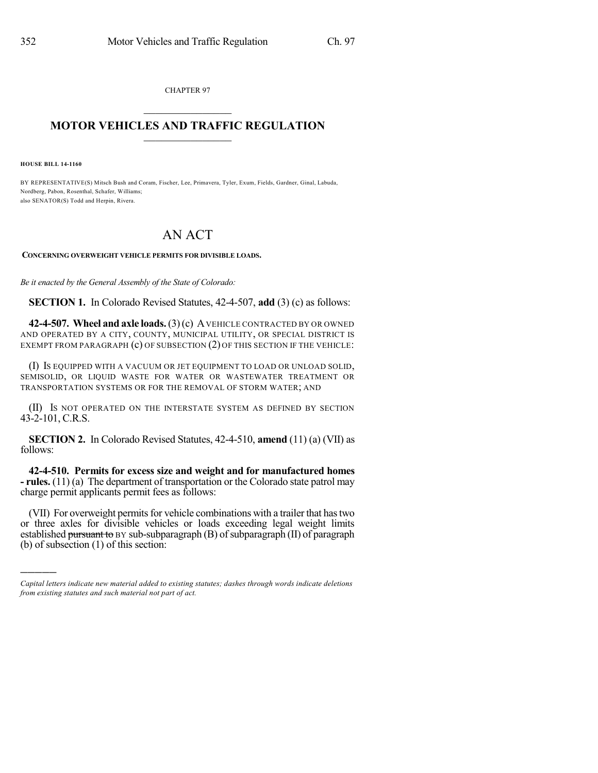CHAPTER 97  $\mathcal{L}_\text{max}$  . The set of the set of the set of the set of the set of the set of the set of the set of the set of the set of the set of the set of the set of the set of the set of the set of the set of the set of the set

## **MOTOR VEHICLES AND TRAFFIC REGULATION**  $\frac{1}{2}$  ,  $\frac{1}{2}$  ,  $\frac{1}{2}$  ,  $\frac{1}{2}$  ,  $\frac{1}{2}$  ,  $\frac{1}{2}$  ,  $\frac{1}{2}$

**HOUSE BILL 14-1160**

)))))

BY REPRESENTATIVE(S) Mitsch Bush and Coram, Fischer, Lee, Primavera, Tyler, Exum, Fields, Gardner, Ginal, Labuda, Nordberg, Pabon, Rosenthal, Schafer, Williams; also SENATOR(S) Todd and Herpin, Rivera.

## AN ACT

## **CONCERNING OVERWEIGHT VEHICLE PERMITS FOR DIVISIBLE LOADS.**

*Be it enacted by the General Assembly of the State of Colorado:*

**SECTION 1.** In Colorado Revised Statutes, 42-4-507, **add** (3) (c) as follows:

**42-4-507. Wheel and axle loads.**(3)(c) AVEHICLE CONTRACTED BY OR OWNED AND OPERATED BY A CITY, COUNTY, MUNICIPAL UTILITY, OR SPECIAL DISTRICT IS EXEMPT FROM PARAGRAPH (c) OF SUBSECTION (2) OF THIS SECTION IF THE VEHICLE:

(I) IS EQUIPPED WITH A VACUUM OR JET EQUIPMENT TO LOAD OR UNLOAD SOLID, SEMISOLID, OR LIQUID WASTE FOR WATER OR WASTEWATER TREATMENT OR TRANSPORTATION SYSTEMS OR FOR THE REMOVAL OF STORM WATER; AND

(II) IS NOT OPERATED ON THE INTERSTATE SYSTEM AS DEFINED BY SECTION 43-2-101, C.R.S.

**SECTION 2.** In Colorado Revised Statutes, 42-4-510, **amend** (11) (a) (VII) as follows:

**42-4-510. Permits for excess size and weight and for manufactured homes - rules.** (11) (a) The department of transportation or the Colorado state patrol may charge permit applicants permit fees as follows:

(VII) For overweight permits for vehicle combinations with a trailer that has two or three axles for divisible vehicles or loads exceeding legal weight limits established pursuant to  $BY$  sub-subparagraph  $(B)$  of subparagraph  $(II)$  of paragraph (b) of subsection (1) of this section:

*Capital letters indicate new material added to existing statutes; dashes through words indicate deletions from existing statutes and such material not part of act.*